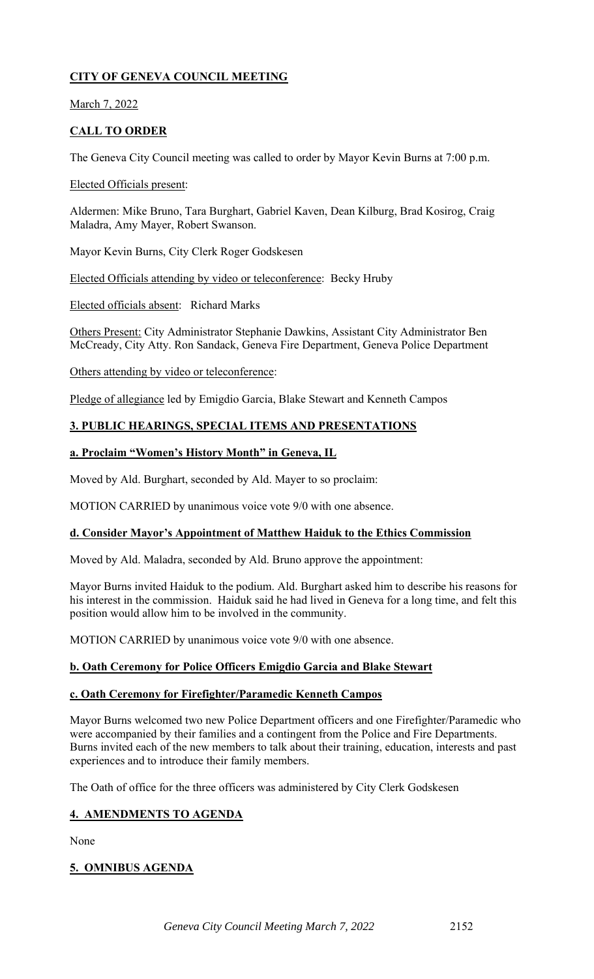## **CITY OF GENEVA COUNCIL MEETING**

March 7, 2022

## **CALL TO ORDER**

The Geneva City Council meeting was called to order by Mayor Kevin Burns at 7:00 p.m.

#### Elected Officials present:

Aldermen: Mike Bruno, Tara Burghart, Gabriel Kaven, Dean Kilburg, Brad Kosirog, Craig Maladra, Amy Mayer, Robert Swanson.

Mayor Kevin Burns, City Clerk Roger Godskesen

Elected Officials attending by video or teleconference: Becky Hruby

Elected officials absent: Richard Marks

Others Present: City Administrator Stephanie Dawkins, Assistant City Administrator Ben McCready, City Atty. Ron Sandack, Geneva Fire Department, Geneva Police Department

Others attending by video or teleconference:

Pledge of allegiance led by Emigdio Garcia, Blake Stewart and Kenneth Campos

### **3. PUBLIC HEARINGS, SPECIAL ITEMS AND PRESENTATIONS**

#### **a. Proclaim "Women's History Month" in Geneva, IL**

Moved by Ald. Burghart, seconded by Ald. Mayer to so proclaim:

MOTION CARRIED by unanimous voice vote 9/0 with one absence.

#### **d. Consider Mayor's Appointment of Matthew Haiduk to the Ethics Commission**

Moved by Ald. Maladra, seconded by Ald. Bruno approve the appointment:

Mayor Burns invited Haiduk to the podium. Ald. Burghart asked him to describe his reasons for his interest in the commission. Haiduk said he had lived in Geneva for a long time, and felt this position would allow him to be involved in the community.

MOTION CARRIED by unanimous voice vote 9/0 with one absence.

## **b. Oath Ceremony for Police Officers Emigdio Garcia and Blake Stewart**

#### **c. Oath Ceremony for Firefighter/Paramedic Kenneth Campos**

Mayor Burns welcomed two new Police Department officers and one Firefighter/Paramedic who were accompanied by their families and a contingent from the Police and Fire Departments. Burns invited each of the new members to talk about their training, education, interests and past experiences and to introduce their family members.

The Oath of office for the three officers was administered by City Clerk Godskesen

## **4. AMENDMENTS TO AGENDA**

None

## **5. OMNIBUS AGENDA**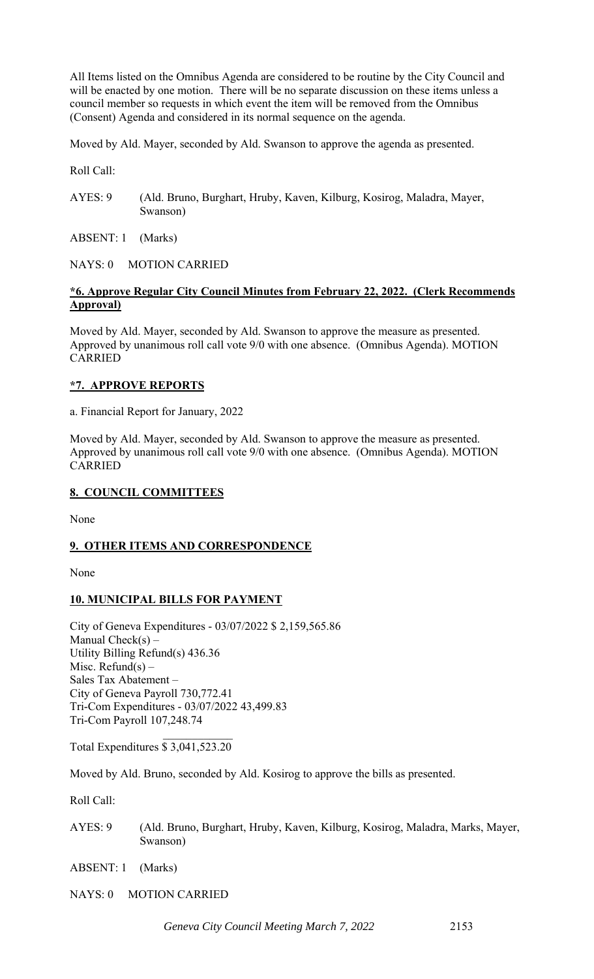All Items listed on the Omnibus Agenda are considered to be routine by the City Council and will be enacted by one motion. There will be no separate discussion on these items unless a council member so requests in which event the item will be removed from the Omnibus (Consent) Agenda and considered in its normal sequence on the agenda.

Moved by Ald. Mayer, seconded by Ald. Swanson to approve the agenda as presented.

Roll Call:

AYES: 9 (Ald. Bruno, Burghart, Hruby, Kaven, Kilburg, Kosirog, Maladra, Mayer, Swanson)

ABSENT: 1 (Marks)

NAYS: 0 MOTION CARRIED

## **\*6. Approve Regular City Council Minutes from February 22, 2022. (Clerk Recommends Approval)**

Moved by Ald. Mayer, seconded by Ald. Swanson to approve the measure as presented. Approved by unanimous roll call vote 9/0 with one absence. (Omnibus Agenda). MOTION CARRIED

#### **\*7. APPROVE REPORTS**

a. Financial Report for January, 2022

Moved by Ald. Mayer, seconded by Ald. Swanson to approve the measure as presented. Approved by unanimous roll call vote 9/0 with one absence. (Omnibus Agenda). MOTION CARRIED

## **8. COUNCIL COMMITTEES**

None

## **9. OTHER ITEMS AND CORRESPONDENCE**

None

## **10. MUNICIPAL BILLS FOR PAYMENT**

City of Geneva Expenditures - 03/07/2022 \$ 2,159,565.86 Manual Check $(s)$  – Utility Billing Refund(s) 436.36 Misc. Refund(s)  $-$ Sales Tax Abatement – City of Geneva Payroll 730,772.41 Tri-Com Expenditures - 03/07/2022 43,499.83 Tri-Com Payroll 107,248.74

Total Expenditures \$ 3,041,523.20

Moved by Ald. Bruno, seconded by Ald. Kosirog to approve the bills as presented.

Roll Call:

AYES: 9 (Ald. Bruno, Burghart, Hruby, Kaven, Kilburg, Kosirog, Maladra, Marks, Mayer, Swanson)

ABSENT: 1 (Marks)

NAYS: 0 MOTION CARRIED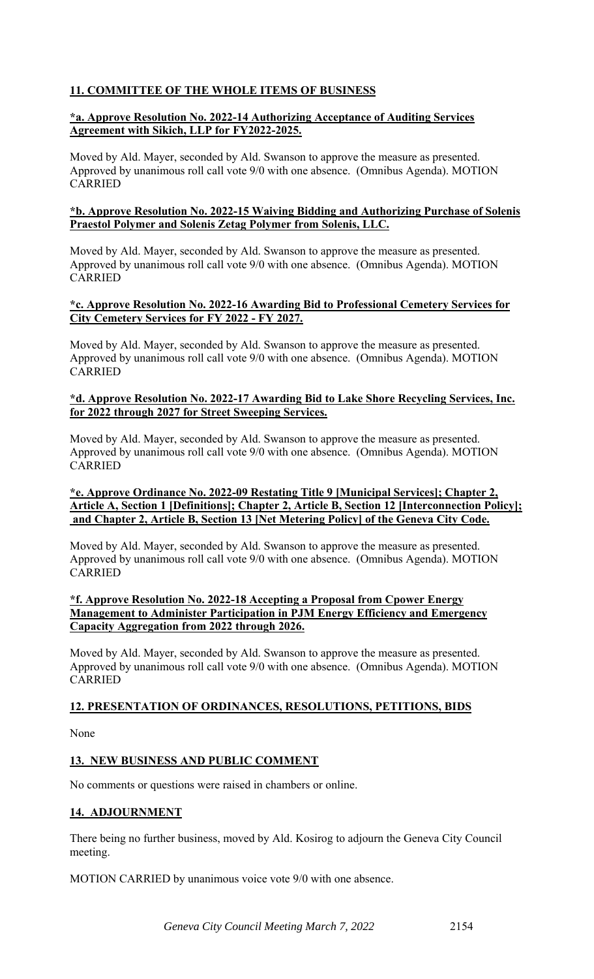## **11. COMMITTEE OF THE WHOLE ITEMS OF BUSINESS**

## **\*a. Approve Resolution No. 2022-14 Authorizing Acceptance of Auditing Services Agreement with Sikich, LLP for FY2022-2025.**

Moved by Ald. Mayer, seconded by Ald. Swanson to approve the measure as presented. Approved by unanimous roll call vote 9/0 with one absence. (Omnibus Agenda). MOTION CARRIED

#### **\*b. Approve Resolution No. 2022-15 Waiving Bidding and Authorizing Purchase of Solenis Praestol Polymer and Solenis Zetag Polymer from Solenis, LLC.**

Moved by Ald. Mayer, seconded by Ald. Swanson to approve the measure as presented. Approved by unanimous roll call vote 9/0 with one absence. (Omnibus Agenda). MOTION CARRIED

#### **\*c. Approve Resolution No. 2022-16 Awarding Bid to Professional Cemetery Services for City Cemetery Services for FY 2022 - FY 2027.**

Moved by Ald. Mayer, seconded by Ald. Swanson to approve the measure as presented. Approved by unanimous roll call vote 9/0 with one absence. (Omnibus Agenda). MOTION CARRIED

#### **\*d. Approve Resolution No. 2022-17 Awarding Bid to Lake Shore Recycling Services, Inc. for 2022 through 2027 for Street Sweeping Services.**

Moved by Ald. Mayer, seconded by Ald. Swanson to approve the measure as presented. Approved by unanimous roll call vote 9/0 with one absence. (Omnibus Agenda). MOTION CARRIED

#### **\*e. Approve Ordinance No. 2022-09 Restating Title 9 [Municipal Services]; Chapter 2, Article A, Section 1 [Definitions]; Chapter 2, Article B, Section 12 [Interconnection Policy]; and Chapter 2, Article B, Section 13 [Net Metering Policy] of the Geneva City Code.**

Moved by Ald. Mayer, seconded by Ald. Swanson to approve the measure as presented. Approved by unanimous roll call vote 9/0 with one absence. (Omnibus Agenda). MOTION CARRIED

#### **\*f. Approve Resolution No. 2022-18 Accepting a Proposal from Cpower Energy Management to Administer Participation in PJM Energy Efficiency and Emergency Capacity Aggregation from 2022 through 2026.**

Moved by Ald. Mayer, seconded by Ald. Swanson to approve the measure as presented. Approved by unanimous roll call vote 9/0 with one absence. (Omnibus Agenda). MOTION CARRIED

## **12. PRESENTATION OF ORDINANCES, RESOLUTIONS, PETITIONS, BIDS**

None

# **13. NEW BUSINESS AND PUBLIC COMMENT**

No comments or questions were raised in chambers or online.

# **14. ADJOURNMENT**

There being no further business, moved by Ald. Kosirog to adjourn the Geneva City Council meeting.

MOTION CARRIED by unanimous voice vote 9/0 with one absence.